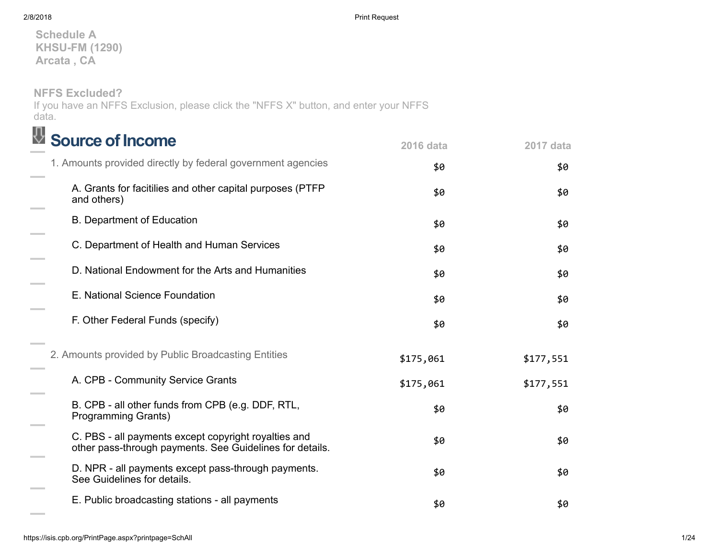Schedule A KHSU-FM (1290) Arcata , CA

NFFS Excluded?

If you have an NFFS Exclusion, please click the "NFFS X" button, and enter your NFFS data.

| <b>Source of Income</b>                                                                                          | <b>2016 data</b> | 2017 data |
|------------------------------------------------------------------------------------------------------------------|------------------|-----------|
| 1. Amounts provided directly by federal government agencies                                                      | \$0              | \$0       |
| A. Grants for facitilies and other capital purposes (PTFP<br>and others)                                         | \$0              | \$0       |
| <b>B. Department of Education</b>                                                                                | \$0              | \$0       |
| C. Department of Health and Human Services                                                                       | \$0              | \$0       |
| D. National Endowment for the Arts and Humanities                                                                | \$0              | \$0       |
| E. National Science Foundation                                                                                   | \$0              | \$0       |
| F. Other Federal Funds (specify)                                                                                 | \$0              | \$0       |
| 2. Amounts provided by Public Broadcasting Entities                                                              | \$175,061        | \$177,551 |
| A. CPB - Community Service Grants                                                                                | \$175,061        | \$177,551 |
| B. CPB - all other funds from CPB (e.g. DDF, RTL,<br><b>Programming Grants)</b>                                  | \$0              | \$0       |
| C. PBS - all payments except copyright royalties and<br>other pass-through payments. See Guidelines for details. | \$0              | \$0       |
| D. NPR - all payments except pass-through payments.<br>See Guidelines for details.                               | \$0              | \$0       |
| E. Public broadcasting stations - all payments                                                                   | \$0              | \$0       |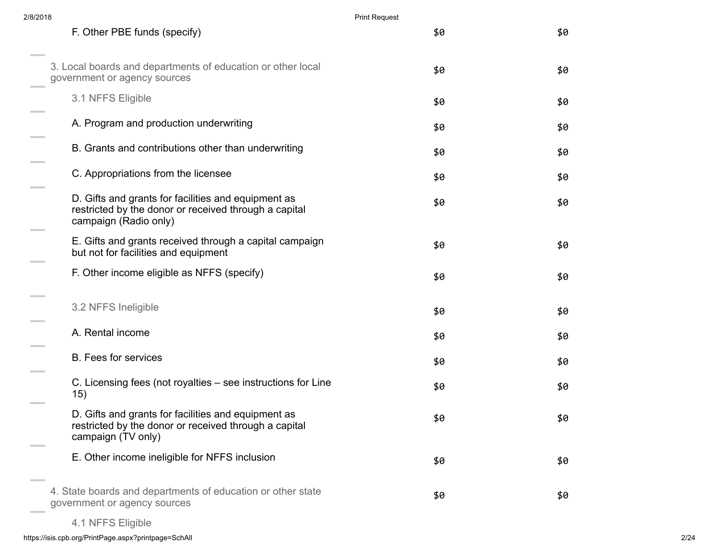| 2/8/2018 |                                                                                                                                       | <b>Print Request</b> |     |
|----------|---------------------------------------------------------------------------------------------------------------------------------------|----------------------|-----|
|          | F. Other PBE funds (specify)                                                                                                          | \$0                  | \$0 |
|          | 3. Local boards and departments of education or other local<br>government or agency sources                                           | \$0                  | \$0 |
|          | 3.1 NFFS Eligible                                                                                                                     | \$0                  | \$0 |
|          | A. Program and production underwriting                                                                                                | \$0                  | \$0 |
|          | B. Grants and contributions other than underwriting                                                                                   | \$0                  | \$0 |
|          | C. Appropriations from the licensee                                                                                                   | \$0                  | \$0 |
|          | D. Gifts and grants for facilities and equipment as<br>restricted by the donor or received through a capital<br>campaign (Radio only) | \$0                  | \$0 |
|          | E. Gifts and grants received through a capital campaign<br>but not for facilities and equipment                                       | \$0                  | \$0 |
|          | F. Other income eligible as NFFS (specify)                                                                                            | \$0                  | \$0 |
|          | 3.2 NFFS Ineligible                                                                                                                   | \$0                  | \$0 |
|          | A. Rental income                                                                                                                      | \$0                  | \$0 |
|          | <b>B.</b> Fees for services                                                                                                           | \$0                  | \$0 |
|          | C. Licensing fees (not royalties – see instructions for Line<br>15)                                                                   | \$0                  | \$0 |
|          | D. Gifts and grants for facilities and equipment as<br>restricted by the donor or received through a capital<br>campaign (TV only)    | \$0                  | \$0 |
|          | E. Other income ineligible for NFFS inclusion                                                                                         | \$0                  | \$0 |
|          | 4. State boards and departments of education or other state<br>government or agency sources                                           | \$0                  | \$0 |
|          |                                                                                                                                       |                      |     |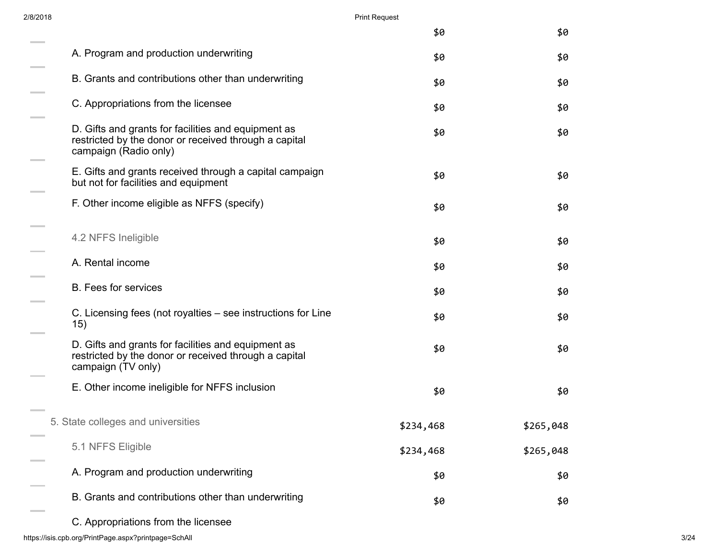| 2/8/2018                                                                                                                              |           | <b>Print Request</b> |  |  |
|---------------------------------------------------------------------------------------------------------------------------------------|-----------|----------------------|--|--|
|                                                                                                                                       | \$0       | \$0                  |  |  |
| A. Program and production underwriting                                                                                                | \$0       | \$0                  |  |  |
| B. Grants and contributions other than underwriting                                                                                   | \$0       | \$0                  |  |  |
| C. Appropriations from the licensee                                                                                                   | \$0       | \$0                  |  |  |
| D. Gifts and grants for facilities and equipment as<br>restricted by the donor or received through a capital<br>campaign (Radio only) | \$0       | \$0                  |  |  |
| E. Gifts and grants received through a capital campaign<br>but not for facilities and equipment                                       | \$0       | \$0                  |  |  |
| F. Other income eligible as NFFS (specify)                                                                                            | \$0       | \$0                  |  |  |
| 4.2 NFFS Ineligible                                                                                                                   | \$0       | \$0                  |  |  |
| A. Rental income                                                                                                                      | \$0       | \$0                  |  |  |
| <b>B.</b> Fees for services                                                                                                           | \$0       | \$0                  |  |  |
| C. Licensing fees (not royalties – see instructions for Line<br>15)                                                                   | \$0       | \$0                  |  |  |
| D. Gifts and grants for facilities and equipment as<br>restricted by the donor or received through a capital<br>campaign (TV only)    | \$0       | \$0                  |  |  |
| E. Other income ineligible for NFFS inclusion                                                                                         | \$0       | \$0                  |  |  |
| 5. State colleges and universities                                                                                                    | \$234,468 | \$265,048            |  |  |
| 5.1 NFFS Eligible                                                                                                                     | \$234,468 | \$265,048            |  |  |
| A. Program and production underwriting                                                                                                | \$0       | \$0                  |  |  |
| B. Grants and contributions other than underwriting                                                                                   | \$0       | \$0                  |  |  |
| C. Appropriations from the licensee                                                                                                   |           |                      |  |  |

https://isis.cpb.org/PrintPage.aspx?printpage=SchAll 3/24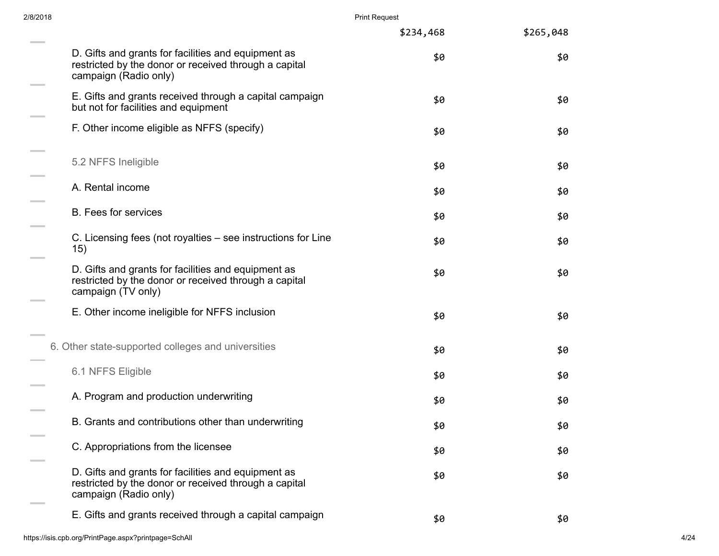| 2/8/2018 |                                                                                                                                       | <b>Print Request</b> |           |      |
|----------|---------------------------------------------------------------------------------------------------------------------------------------|----------------------|-----------|------|
|          |                                                                                                                                       | \$234,468            | \$265,048 |      |
|          | D. Gifts and grants for facilities and equipment as<br>restricted by the donor or received through a capital<br>campaign (Radio only) | \$0                  | \$0       |      |
|          | E. Gifts and grants received through a capital campaign<br>but not for facilities and equipment                                       | \$0                  | \$0       |      |
|          | F. Other income eligible as NFFS (specify)                                                                                            | \$0                  | \$0       |      |
|          | 5.2 NFFS Ineligible                                                                                                                   | \$0                  | \$0       |      |
|          | A. Rental income                                                                                                                      | \$0                  | \$0       |      |
|          | <b>B.</b> Fees for services                                                                                                           | \$0                  | \$0       |      |
|          | C. Licensing fees (not royalties – see instructions for Line<br>15)                                                                   | \$0                  | \$0       |      |
|          | D. Gifts and grants for facilities and equipment as<br>restricted by the donor or received through a capital<br>campaign (TV only)    | \$0                  | \$0       |      |
|          | E. Other income ineligible for NFFS inclusion                                                                                         | \$0                  | \$0       |      |
|          | 6. Other state-supported colleges and universities                                                                                    | \$0                  | \$0       |      |
|          | 6.1 NFFS Eligible                                                                                                                     | \$0                  | \$0       |      |
|          | A. Program and production underwriting                                                                                                | \$0                  | \$0       |      |
|          | B. Grants and contributions other than underwriting                                                                                   | \$0                  | \$0       |      |
|          | C. Appropriations from the licensee                                                                                                   | \$0                  | \$0       |      |
|          | D. Gifts and grants for facilities and equipment as<br>restricted by the donor or received through a capital<br>campaign (Radio only) | \$0                  | \$0       |      |
|          | E. Gifts and grants received through a capital campaign                                                                               | \$0                  | \$0       |      |
|          | https://isis.cpb.org/PrintPage.aspx?printpage=SchAll                                                                                  |                      |           | 4/24 |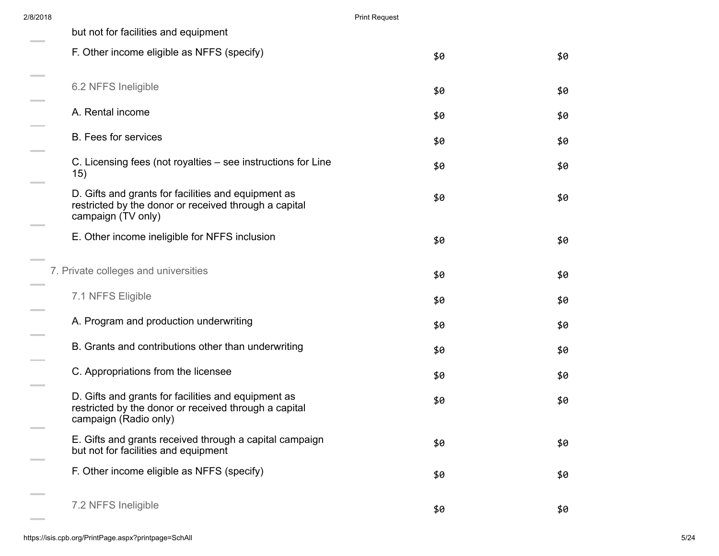| 2/8/2018 |                                                                                                                                       | <b>Print Request</b> |     |
|----------|---------------------------------------------------------------------------------------------------------------------------------------|----------------------|-----|
|          | but not for facilities and equipment                                                                                                  |                      |     |
|          | F. Other income eligible as NFFS (specify)                                                                                            | \$0                  | \$0 |
|          | 6.2 NFFS Ineligible                                                                                                                   | \$0                  | \$0 |
|          | A. Rental income                                                                                                                      | \$0                  | \$0 |
|          | <b>B.</b> Fees for services                                                                                                           | \$0                  | \$0 |
|          | C. Licensing fees (not royalties – see instructions for Line<br>15)                                                                   | \$0                  | \$0 |
|          | D. Gifts and grants for facilities and equipment as<br>restricted by the donor or received through a capital<br>campaign (TV only)    | \$0                  | \$0 |
|          | E. Other income ineligible for NFFS inclusion                                                                                         | \$0                  | \$0 |
|          | 7. Private colleges and universities                                                                                                  | \$0                  | \$0 |
|          | 7.1 NFFS Eligible                                                                                                                     | \$0                  | \$0 |
|          | A. Program and production underwriting                                                                                                | \$0                  | \$0 |
|          | B. Grants and contributions other than underwriting                                                                                   | \$0                  | \$0 |
|          | C. Appropriations from the licensee                                                                                                   | \$0                  | \$0 |
|          | D. Gifts and grants for facilities and equipment as<br>restricted by the donor or received through a capital<br>campaign (Radio only) | \$0                  | \$0 |
|          | E. Gifts and grants received through a capital campaign<br>but not for facilities and equipment                                       | \$0                  | \$0 |
|          | F. Other income eligible as NFFS (specify)                                                                                            | \$0                  | \$0 |
|          | 7.2 NFFS Ineligible                                                                                                                   | \$0                  | \$0 |

 $\sim$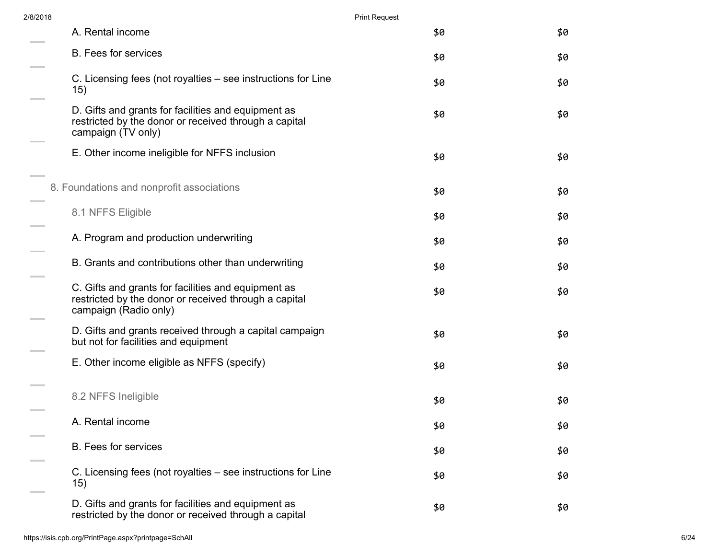| 2/8/2018           |                                                                                                                                       | <b>Print Request</b> |     |
|--------------------|---------------------------------------------------------------------------------------------------------------------------------------|----------------------|-----|
|                    | A. Rental income                                                                                                                      | \$0                  | \$0 |
|                    | <b>B.</b> Fees for services                                                                                                           | \$0                  | \$0 |
|                    | C. Licensing fees (not royalties – see instructions for Line<br>15)                                                                   | \$0                  | \$0 |
|                    | D. Gifts and grants for facilities and equipment as<br>restricted by the donor or received through a capital<br>campaign (TV only)    | \$0                  | \$0 |
|                    | E. Other income ineligible for NFFS inclusion                                                                                         | \$0                  | \$0 |
|                    | 8. Foundations and nonprofit associations                                                                                             | \$0                  | \$0 |
|                    | 8.1 NFFS Eligible                                                                                                                     | \$0                  | \$0 |
|                    | A. Program and production underwriting                                                                                                | \$0                  | \$0 |
| <b>State State</b> | B. Grants and contributions other than underwriting                                                                                   | \$0                  | \$0 |
|                    | C. Gifts and grants for facilities and equipment as<br>restricted by the donor or received through a capital<br>campaign (Radio only) | \$0                  | \$0 |
|                    | D. Gifts and grants received through a capital campaign<br>but not for facilities and equipment                                       | \$0                  | \$0 |
|                    | E. Other income eligible as NFFS (specify)                                                                                            | \$0                  | \$0 |
|                    | 8.2 NFFS Ineligible                                                                                                                   | \$0                  | \$0 |
|                    | A. Rental income                                                                                                                      | \$0                  | \$0 |
|                    | <b>B.</b> Fees for services                                                                                                           | \$0                  | \$0 |
|                    | C. Licensing fees (not royalties – see instructions for Line<br>15)                                                                   | \$0                  | \$0 |
|                    | D. Gifts and grants for facilities and equipment as<br>restricted by the donor or received through a capital                          | \$0                  | \$0 |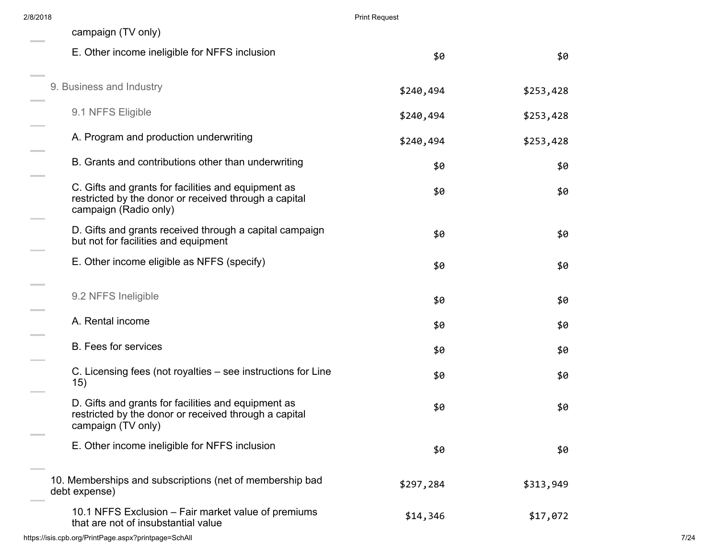| 2/8/2018 |                                                                                                                                       | <b>Print Request</b> |           |      |
|----------|---------------------------------------------------------------------------------------------------------------------------------------|----------------------|-----------|------|
|          | campaign (TV only)                                                                                                                    |                      |           |      |
|          | E. Other income ineligible for NFFS inclusion                                                                                         | \$0                  | \$0       |      |
|          | 9. Business and Industry                                                                                                              | \$240,494            | \$253,428 |      |
|          | 9.1 NFFS Eligible                                                                                                                     | \$240,494            | \$253,428 |      |
|          | A. Program and production underwriting                                                                                                | \$240,494            | \$253,428 |      |
|          | B. Grants and contributions other than underwriting                                                                                   | \$0                  | \$0       |      |
|          | C. Gifts and grants for facilities and equipment as<br>restricted by the donor or received through a capital<br>campaign (Radio only) | \$0                  | \$0       |      |
|          | D. Gifts and grants received through a capital campaign<br>but not for facilities and equipment                                       | \$0                  | \$0       |      |
|          | E. Other income eligible as NFFS (specify)                                                                                            | \$0                  | \$0       |      |
|          | 9.2 NFFS Ineligible                                                                                                                   | \$0                  | \$0       |      |
|          | A. Rental income                                                                                                                      | \$0                  | \$0       |      |
|          | <b>B.</b> Fees for services                                                                                                           | \$0                  | \$0       |      |
|          | C. Licensing fees (not royalties – see instructions for Line<br>15)                                                                   | \$0                  | \$0       |      |
|          | D. Gifts and grants for facilities and equipment as<br>restricted by the donor or received through a capital<br>campaign (TV only)    | \$0                  | \$0       |      |
|          | E. Other income ineligible for NFFS inclusion                                                                                         | \$0                  | \$0       |      |
|          | 10. Memberships and subscriptions (net of membership bad<br>debt expense)                                                             | \$297,284            | \$313,949 |      |
|          | 10.1 NFFS Exclusion – Fair market value of premiums<br>that are not of insubstantial value                                            | \$14,346             | \$17,072  |      |
|          | https://isis.cpb.org/PrintPage.aspx?printpage=SchAll                                                                                  |                      |           | 7/24 |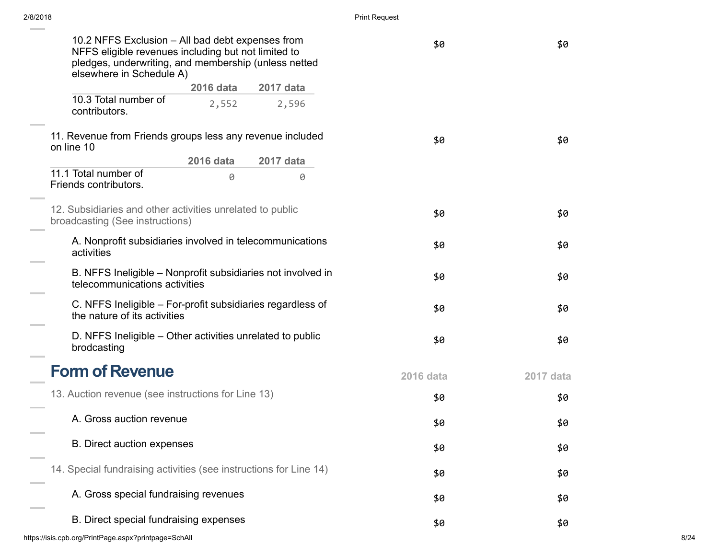| 10.2 NFFS Exclusion - All bad debt expenses from<br>NFFS eligible revenues including but not limited to<br>pledges, underwriting, and membership (unless netted<br>elsewhere in Schedule A) |                  | \$0       | \$0       |           |      |
|---------------------------------------------------------------------------------------------------------------------------------------------------------------------------------------------|------------------|-----------|-----------|-----------|------|
|                                                                                                                                                                                             | <b>2016 data</b> | 2017 data |           |           |      |
| 10.3 Total number of<br>contributors.                                                                                                                                                       | 2,552            | 2,596     |           |           |      |
| 11. Revenue from Friends groups less any revenue included<br>on line 10                                                                                                                     |                  |           | \$0       | \$0       |      |
|                                                                                                                                                                                             | 2016 data        | 2017 data |           |           |      |
| 11.1 Total number of<br>Friends contributors.                                                                                                                                               | 0                | 0         |           |           |      |
| 12. Subsidiaries and other activities unrelated to public<br>broadcasting (See instructions)                                                                                                |                  |           | \$0       | \$0       |      |
| A. Nonprofit subsidiaries involved in telecommunications<br>activities                                                                                                                      |                  | \$0       | \$0       |           |      |
| B. NFFS Ineligible - Nonprofit subsidiaries not involved in<br>telecommunications activities                                                                                                |                  | \$0       | \$0       |           |      |
| C. NFFS Ineligible - For-profit subsidiaries regardless of<br>the nature of its activities                                                                                                  |                  |           | \$0       | \$0       |      |
| D. NFFS Ineligible – Other activities unrelated to public<br>brodcasting                                                                                                                    |                  |           | \$0       | \$0       |      |
| <b>Form of Revenue</b>                                                                                                                                                                      |                  |           | 2016 data | 2017 data |      |
| 13. Auction revenue (see instructions for Line 13)                                                                                                                                          |                  |           | \$0       | \$0       |      |
| A. Gross auction revenue                                                                                                                                                                    |                  |           | \$0       | \$0       |      |
| <b>B.</b> Direct auction expenses                                                                                                                                                           |                  |           | \$0       | \$0       |      |
| 14. Special fundraising activities (see instructions for Line 14)                                                                                                                           |                  |           | \$0       | \$0       |      |
| A. Gross special fundraising revenues                                                                                                                                                       |                  |           | \$0       | \$0       |      |
| B. Direct special fundraising expenses                                                                                                                                                      |                  |           | \$0       | \$0       |      |
| https://isis.cpb.org/PrintPage.aspx?printpage=SchAll                                                                                                                                        |                  |           |           |           | 8/24 |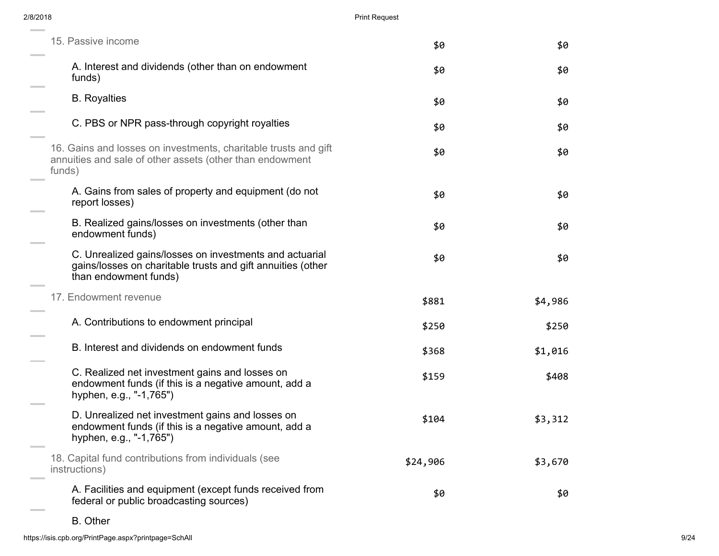| <b>Print Request</b> |         |
|----------------------|---------|
| \$0                  | \$0     |
| \$0                  | \$0     |
| \$0                  | \$0     |
| \$0                  | \$0     |
| \$0                  | \$0     |
| \$0                  | \$0     |
| \$0                  | \$0     |
| \$0                  | \$0     |
| \$881                | \$4,986 |
| \$250                | \$250   |
| \$368                | \$1,016 |
| \$159                | \$408   |
| \$104                | \$3,312 |
| \$24,906             | \$3,670 |
| \$0                  | \$0     |
|                      |         |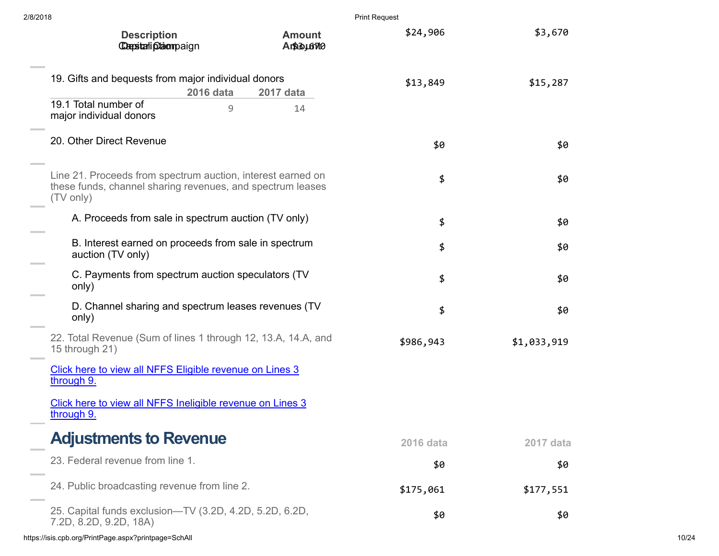| 2/8/2018                                                                                                                               |                            | <b>Print Request</b> |             |  |
|----------------------------------------------------------------------------------------------------------------------------------------|----------------------------|----------------------|-------------|--|
| <b>Description</b><br><b>Capstali plaompaign</b>                                                                                       | <b>Amount</b><br>AntisusTe | \$24,906             | \$3,670     |  |
| 19. Gifts and bequests from major individual donors<br><b>2016 data</b>                                                                | 2017 data                  | \$13,849             | \$15,287    |  |
| 19.1 Total number of<br>major individual donors                                                                                        | $\mathcal{G}$<br>14        |                      |             |  |
| 20. Other Direct Revenue                                                                                                               |                            | \$0                  | \$0         |  |
| Line 21. Proceeds from spectrum auction, interest earned on<br>these funds, channel sharing revenues, and spectrum leases<br>(TV only) |                            | \$                   | \$0         |  |
| A. Proceeds from sale in spectrum auction (TV only)                                                                                    |                            | \$                   | \$0         |  |
| B. Interest earned on proceeds from sale in spectrum<br>auction (TV only)                                                              |                            | \$                   | \$0         |  |
| C. Payments from spectrum auction speculators (TV<br>only)                                                                             |                            | \$                   | \$0         |  |
| D. Channel sharing and spectrum leases revenues (TV<br>only)                                                                           |                            | \$                   | \$0         |  |
| 22. Total Revenue (Sum of lines 1 through 12, 13.A, 14.A, and<br>15 through 21)                                                        |                            | \$986,943            | \$1,033,919 |  |
| Click here to view all NFFS Eligible revenue on Lines 3<br>through 9.                                                                  |                            |                      |             |  |
| Click here to view all NFFS Ineligible revenue on Lines 3<br>through 9.                                                                |                            |                      |             |  |
| <b>Adjustments to Revenue</b>                                                                                                          |                            | <b>2016 data</b>     | 2017 data   |  |
| 23. Federal revenue from line 1.                                                                                                       |                            | \$0                  | \$0         |  |
| 24. Public broadcasting revenue from line 2.                                                                                           |                            | \$175,061            | \$177,551   |  |
| 25. Capital funds exclusion-TV (3.2D, 4.2D, 5.2D, 6.2D,<br>7.2D, 8.2D, 9.2D, 18A)                                                      |                            | \$0                  | \$0         |  |
| https://isis.cpb.org/PrintPage.aspx?printpage=SchAll                                                                                   |                            |                      |             |  |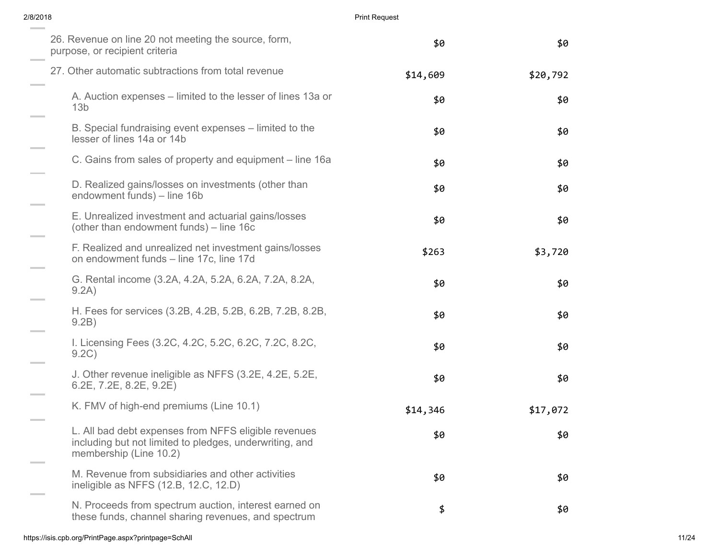|          | <b>Print Request</b> | 2/8/2018                                                                                                                                  |  |
|----------|----------------------|-------------------------------------------------------------------------------------------------------------------------------------------|--|
| \$0      | \$0                  | 26. Revenue on line 20 not meeting the source, form,<br>purpose, or recipient criteria                                                    |  |
| \$20,792 | \$14,609             | 27. Other automatic subtractions from total revenue                                                                                       |  |
| \$0      | \$0                  | A. Auction expenses – limited to the lesser of lines 13a or<br>13 <sub>b</sub>                                                            |  |
| \$0      | \$0                  | B. Special fundraising event expenses – limited to the<br>lesser of lines 14a or 14b                                                      |  |
| \$0      | \$0                  | C. Gains from sales of property and equipment – line 16a                                                                                  |  |
| \$0      | \$0                  | D. Realized gains/losses on investments (other than<br>endowment funds) – line 16b                                                        |  |
| \$0      | \$0                  | E. Unrealized investment and actuarial gains/losses<br>(other than endowment funds) – line 16c                                            |  |
| \$3,720  | \$263                | F. Realized and unrealized net investment gains/losses<br>on endowment funds - line 17c, line 17d                                         |  |
| \$0      | \$0                  | G. Rental income (3.2A, 4.2A, 5.2A, 6.2A, 7.2A, 8.2A,<br>9.2A)                                                                            |  |
| \$0      | \$0                  | H. Fees for services (3.2B, 4.2B, 5.2B, 6.2B, 7.2B, 8.2B,<br>9.2B)                                                                        |  |
| \$0      | \$0                  | I. Licensing Fees (3.2C, 4.2C, 5.2C, 6.2C, 7.2C, 8.2C,<br>9.2C)                                                                           |  |
| \$0      | \$0                  | J. Other revenue ineligible as NFFS (3.2E, 4.2E, 5.2E,<br>$6.2E$ , $7.2E$ , $8.2E$ , $9.2E$ )                                             |  |
| \$17,072 | \$14,346             | K. FMV of high-end premiums (Line 10.1)                                                                                                   |  |
| \$0      | \$0                  | L. All bad debt expenses from NFFS eligible revenues<br>including but not limited to pledges, underwriting, and<br>membership (Line 10.2) |  |
| \$0      | \$0                  | M. Revenue from subsidiaries and other activities<br>ineligible as NFFS (12.B, 12.C, 12.D)                                                |  |
| \$0      | \$                   | N. Proceeds from spectrum auction, interest earned on<br>these funds, channel sharing revenues, and spectrum                              |  |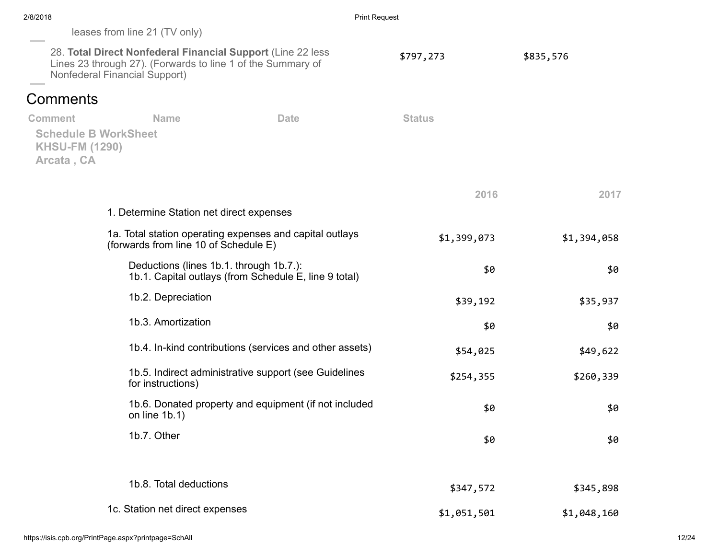| 2/8/2018<br><b>Print Request</b>                                                                                                                             |                                          |                                                         |               |             |
|--------------------------------------------------------------------------------------------------------------------------------------------------------------|------------------------------------------|---------------------------------------------------------|---------------|-------------|
|                                                                                                                                                              | leases from line 21 (TV only)            |                                                         |               |             |
| 28. Total Direct Nonfederal Financial Support (Line 22 less)<br>Lines 23 through 27). (Forwards to line 1 of the Summary of<br>Nonfederal Financial Support) |                                          |                                                         | \$797,273     | \$835,576   |
| <b>Comments</b>                                                                                                                                              |                                          |                                                         |               |             |
| <b>Comment</b>                                                                                                                                               | <b>Name</b>                              | <b>Date</b>                                             | <b>Status</b> |             |
| <b>KHSU-FM (1290)</b><br>Arcata, CA                                                                                                                          | <b>Schedule B WorkSheet</b>              |                                                         |               |             |
|                                                                                                                                                              |                                          |                                                         | 2016          | 2017        |
|                                                                                                                                                              | 1. Determine Station net direct expenses |                                                         |               |             |
| 1a. Total station operating expenses and capital outlays<br>(forwards from line 10 of Schedule E)                                                            |                                          | \$1,399,073                                             | \$1,394,058   |             |
|                                                                                                                                                              | Deductions (lines 1b.1. through 1b.7.):  | 1b.1. Capital outlays (from Schedule E, line 9 total)   | \$0           | \$0         |
|                                                                                                                                                              | 1b.2. Depreciation                       |                                                         | \$39,192      | \$35,937    |
|                                                                                                                                                              | 1b.3. Amortization                       |                                                         | \$0           | \$0         |
|                                                                                                                                                              |                                          | 1b.4. In-kind contributions (services and other assets) | \$54,025      | \$49,622    |
|                                                                                                                                                              | for instructions)                        | 1b.5. Indirect administrative support (see Guidelines   | \$254,355     | \$260,339   |
|                                                                                                                                                              | on line $1b.1$ )                         | 1b.6. Donated property and equipment (if not included   | \$0           | \$0         |
|                                                                                                                                                              | 1b.7. Other                              |                                                         | \$0           | \$0         |
|                                                                                                                                                              | 1b.8. Total deductions                   |                                                         | \$347,572     | \$345,898   |
|                                                                                                                                                              | 1c. Station net direct expenses          |                                                         | \$1,051,501   | \$1,048,160 |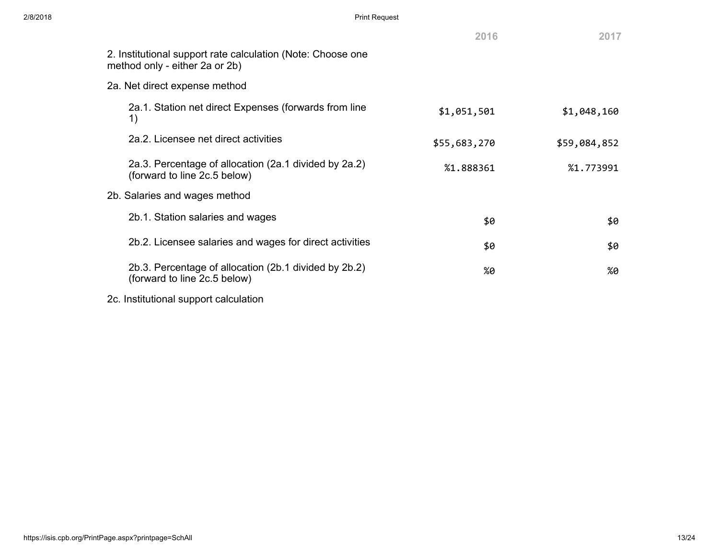|                                                                                               | 2016         | 2017         |
|-----------------------------------------------------------------------------------------------|--------------|--------------|
| 2. Institutional support rate calculation (Note: Choose one<br>method only - either 2a or 2b) |              |              |
| 2a. Net direct expense method                                                                 |              |              |
| 2a.1. Station net direct Expenses (forwards from line<br>1)                                   | \$1,051,501  | \$1,048,160  |
| 2a.2. Licensee net direct activities                                                          | \$55,683,270 | \$59,084,852 |
| 2a.3. Percentage of allocation (2a.1 divided by 2a.2)<br>(forward to line 2c.5 below)         | %1.888361    | %1.773991    |
| 2b. Salaries and wages method                                                                 |              |              |
| 2b.1. Station salaries and wages                                                              | \$0          | \$0          |
| 2b.2. Licensee salaries and wages for direct activities                                       | \$0          | \$0          |
| 2b.3. Percentage of allocation (2b.1 divided by 2b.2)<br>(forward to line 2c.5 below)         | %0           | %0           |
| 2c. Institutional support calculation                                                         |              |              |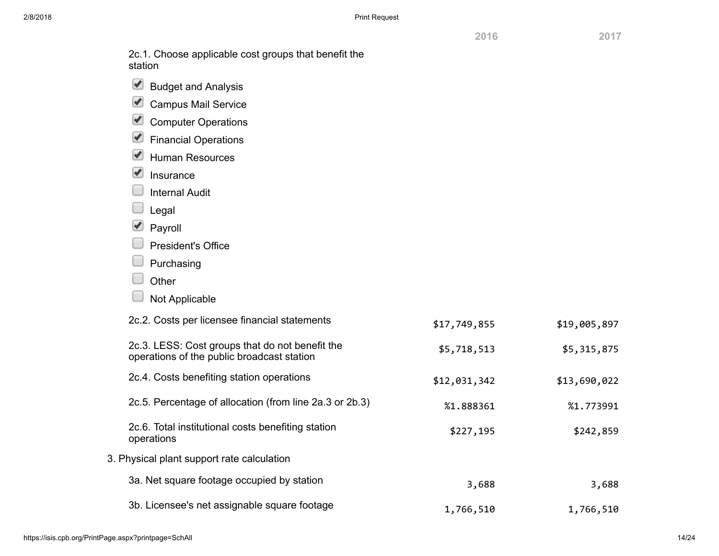2016 2017

| 2c.1. Choose applicable cost groups that benefit the<br>station                               |              |              |
|-----------------------------------------------------------------------------------------------|--------------|--------------|
| $\blacktriangleright$<br><b>Budget and Analysis</b>                                           |              |              |
| $\blacktriangleright$<br><b>Campus Mail Service</b>                                           |              |              |
| $\blacktriangleright$<br><b>Computer Operations</b>                                           |              |              |
| $\blacktriangleright$<br><b>Financial Operations</b>                                          |              |              |
| $\blacktriangledown$<br><b>Human Resources</b>                                                |              |              |
| $\blacktriangledown$<br>Insurance                                                             |              |              |
| <b>Internal Audit</b>                                                                         |              |              |
| Legal                                                                                         |              |              |
| $\blacktriangledown$<br>Payroll                                                               |              |              |
| <b>President's Office</b>                                                                     |              |              |
| Purchasing                                                                                    |              |              |
| Other                                                                                         |              |              |
| Not Applicable                                                                                |              |              |
| 2c.2. Costs per licensee financial statements                                                 | \$17,749,855 | \$19,005,897 |
| 2c.3. LESS: Cost groups that do not benefit the<br>operations of the public broadcast station | \$5,718,513  | \$5,315,875  |
| 2c.4. Costs benefiting station operations                                                     | \$12,031,342 | \$13,690,022 |
| 2c.5. Percentage of allocation (from line 2a.3 or 2b.3)                                       | %1.888361    | %1.773991    |
| 2c.6. Total institutional costs benefiting station<br>operations                              | \$227,195    | \$242,859    |
| 3. Physical plant support rate calculation                                                    |              |              |
| 3a. Net square footage occupied by station                                                    | 3,688        | 3,688        |
| 3b. Licensee's net assignable square footage                                                  | 1,766,510    | 1,766,510    |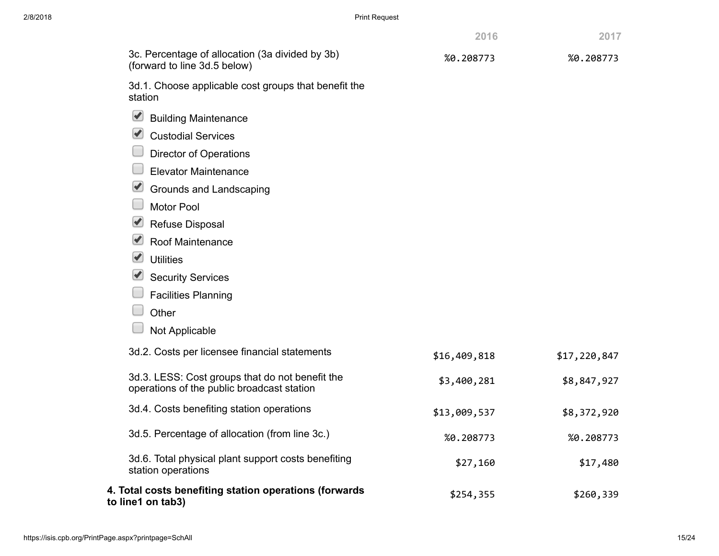| 2/8/2018 | <b>Print Request</b>                                                                          |              |              |  |  |
|----------|-----------------------------------------------------------------------------------------------|--------------|--------------|--|--|
|          |                                                                                               | 2016         | 2017         |  |  |
|          | 3c. Percentage of allocation (3a divided by 3b)<br>(forward to line 3d.5 below)               | %0.208773    | %0.208773    |  |  |
|          | 3d.1. Choose applicable cost groups that benefit the<br>station                               |              |              |  |  |
|          | $\blacktriangleright$<br><b>Building Maintenance</b>                                          |              |              |  |  |
|          | $\blacktriangleright$<br><b>Custodial Services</b>                                            |              |              |  |  |
|          | <b>Director of Operations</b>                                                                 |              |              |  |  |
|          | <b>Elevator Maintenance</b>                                                                   |              |              |  |  |
|          | $\blacktriangleright$<br>Grounds and Landscaping                                              |              |              |  |  |
|          | <b>Motor Pool</b>                                                                             |              |              |  |  |
|          | Refuse Disposal                                                                               |              |              |  |  |
|          | $\blacktriangleright$<br>Roof Maintenance                                                     |              |              |  |  |
|          | $\blacktriangleright$<br><b>Utilities</b>                                                     |              |              |  |  |
|          | <b>Security Services</b>                                                                      |              |              |  |  |
|          | <b>Facilities Planning</b>                                                                    |              |              |  |  |
|          | Other                                                                                         |              |              |  |  |
|          | Not Applicable                                                                                |              |              |  |  |
|          | 3d.2. Costs per licensee financial statements                                                 | \$16,409,818 | \$17,220,847 |  |  |
|          | 3d.3. LESS: Cost groups that do not benefit the<br>operations of the public broadcast station | \$3,400,281  | \$8,847,927  |  |  |
|          | 3d.4. Costs benefiting station operations                                                     | \$13,009,537 | \$8,372,920  |  |  |
|          | 3d.5. Percentage of allocation (from line 3c.)                                                | %0.208773    | %0.208773    |  |  |
|          | 3d.6. Total physical plant support costs benefiting<br>station operations                     | \$27,160     | \$17,480     |  |  |
|          | 4. Total costs benefiting station operations (forwards<br>to line1 on tab3)                   | \$254,355    | \$260,339    |  |  |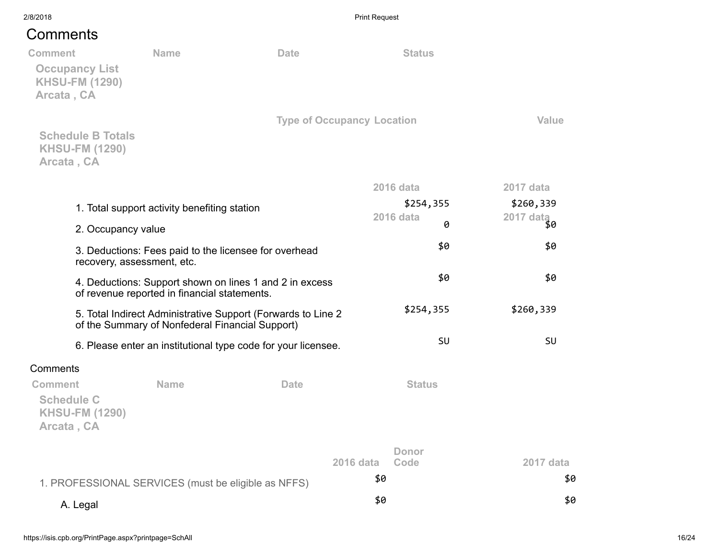## **Comments**

| Comments                                                                       |                                                                                     |                                                               |                       |           |
|--------------------------------------------------------------------------------|-------------------------------------------------------------------------------------|---------------------------------------------------------------|-----------------------|-----------|
| <b>Comment</b><br><b>Occupancy List</b><br><b>KHSU-FM (1290)</b><br>Arcata, CA | <b>Name</b>                                                                         | <b>Date</b>                                                   | <b>Status</b>         |           |
| <b>Schedule B Totals</b><br><b>KHSU-FM (1290)</b><br>Arcata, CA                |                                                                                     | <b>Type of Occupancy Location</b>                             |                       | Value     |
|                                                                                |                                                                                     |                                                               | <b>2016 data</b>      | 2017 data |
|                                                                                | 1. Total support activity benefiting station                                        |                                                               | \$254,355             | \$260,339 |
| 2. Occupancy value                                                             |                                                                                     |                                                               | <b>2016 data</b><br>ø | 2017 data |
|                                                                                | 3. Deductions: Fees paid to the licensee for overhead<br>recovery, assessment, etc. |                                                               | \$0                   | \$0       |
|                                                                                | of revenue reported in financial statements.                                        | 4. Deductions: Support shown on lines 1 and 2 in excess       | \$0                   | \$0       |
|                                                                                | of the Summary of Nonfederal Financial Support)                                     | 5. Total Indirect Administrative Support (Forwards to Line 2  | \$254,355             | \$260,339 |
|                                                                                |                                                                                     | 6. Please enter an institutional type code for your licensee. | SU                    | SU        |
| Comments                                                                       |                                                                                     |                                                               |                       |           |
| <b>Comment</b><br><b>Schedule C</b><br><b>KHSU-FM (1290)</b><br>Arcata, CA     | <b>Name</b>                                                                         | <b>Date</b>                                                   | <b>Status</b>         |           |
|                                                                                |                                                                                     | <b>2016 data</b>                                              | Donor<br>Code         | 2017 data |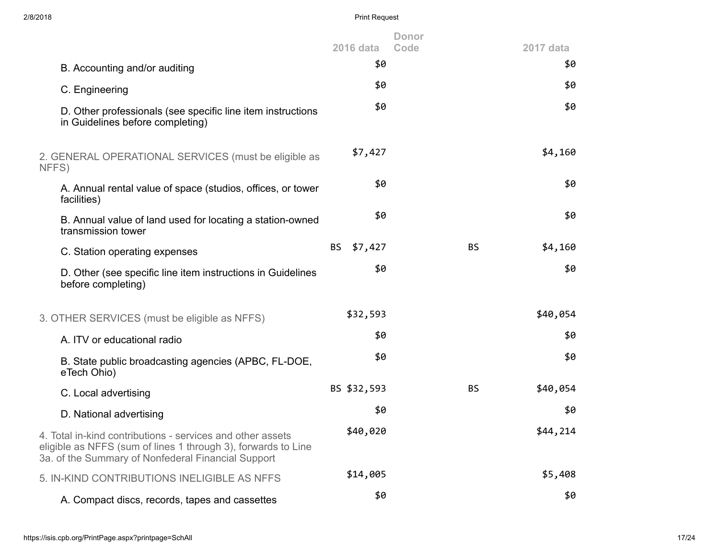| 2/8/2018                                                                                                                                                                          | <b>Print Request</b> |                      |           |
|-----------------------------------------------------------------------------------------------------------------------------------------------------------------------------------|----------------------|----------------------|-----------|
|                                                                                                                                                                                   | <b>2016 data</b>     | <b>Donor</b><br>Code | 2017 data |
| B. Accounting and/or auditing                                                                                                                                                     | \$0                  |                      | \$0       |
| C. Engineering                                                                                                                                                                    | \$0                  |                      | \$0       |
| D. Other professionals (see specific line item instructions<br>in Guidelines before completing)                                                                                   | \$0                  |                      | \$0       |
| 2. GENERAL OPERATIONAL SERVICES (must be eligible as<br>NFFS)                                                                                                                     | \$7,427              |                      | \$4,160   |
| A. Annual rental value of space (studios, offices, or tower<br>facilities)                                                                                                        | \$0                  |                      | \$0       |
| B. Annual value of land used for locating a station-owned<br>transmission tower                                                                                                   | \$0                  |                      | \$0       |
| C. Station operating expenses                                                                                                                                                     | <b>BS</b><br>\$7,427 | <b>BS</b>            | \$4,160   |
| D. Other (see specific line item instructions in Guidelines<br>before completing)                                                                                                 | \$0                  |                      | \$0       |
| 3. OTHER SERVICES (must be eligible as NFFS)                                                                                                                                      | \$32,593             |                      | \$40,054  |
| A. ITV or educational radio                                                                                                                                                       | \$0                  |                      | \$0       |
| B. State public broadcasting agencies (APBC, FL-DOE,<br>eTech Ohio)                                                                                                               | \$0                  |                      | \$0       |
| C. Local advertising                                                                                                                                                              | BS \$32,593          | <b>BS</b>            | \$40,054  |
| D. National advertising                                                                                                                                                           | \$0                  |                      | \$0       |
| 4. Total in-kind contributions - services and other assets<br>eligible as NFFS (sum of lines 1 through 3), forwards to Line<br>3a. of the Summary of Nonfederal Financial Support | \$40,020             |                      | \$44,214  |
| 5. IN-KIND CONTRIBUTIONS INELIGIBLE AS NFFS                                                                                                                                       | \$14,005             |                      | \$5,408   |
| A. Compact discs, records, tapes and cassettes                                                                                                                                    | \$0                  |                      | \$0       |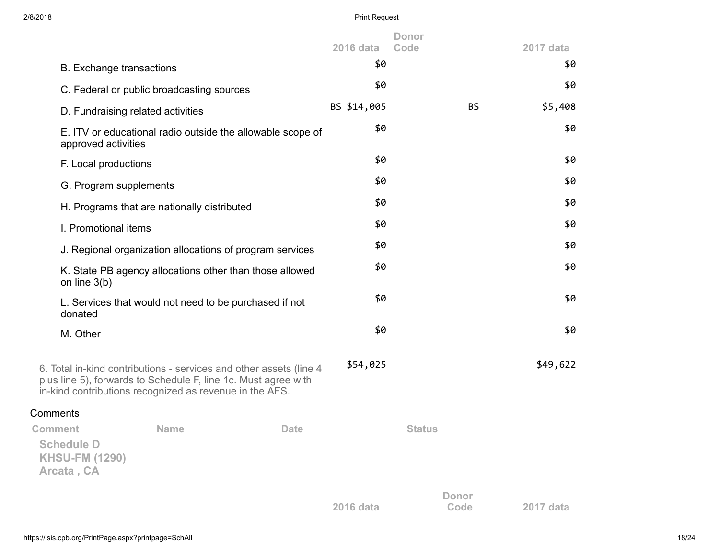| 2/8/2018                                                                                                                  |                                                        |                                                                    | <b>Print Request</b> |                      |                      |           |          |
|---------------------------------------------------------------------------------------------------------------------------|--------------------------------------------------------|--------------------------------------------------------------------|----------------------|----------------------|----------------------|-----------|----------|
|                                                                                                                           |                                                        |                                                                    | <b>2016 data</b>     | <b>Donor</b><br>Code |                      | 2017 data |          |
| <b>B.</b> Exchange transactions                                                                                           |                                                        |                                                                    | \$0                  |                      |                      |           | \$0      |
|                                                                                                                           | C. Federal or public broadcasting sources              |                                                                    | \$0                  |                      |                      |           | \$0      |
| D. Fundraising related activities                                                                                         |                                                        |                                                                    | BS \$14,005          |                      | <b>BS</b>            |           | \$5,408  |
| approved activities                                                                                                       |                                                        | E. ITV or educational radio outside the allowable scope of         | \$0                  |                      |                      |           | \$0      |
| F. Local productions                                                                                                      |                                                        |                                                                    | \$0                  |                      |                      |           | \$0      |
| G. Program supplements                                                                                                    |                                                        |                                                                    | \$0                  |                      |                      |           | \$0      |
|                                                                                                                           | H. Programs that are nationally distributed            |                                                                    | \$0                  |                      |                      |           | \$0      |
| I. Promotional items                                                                                                      |                                                        |                                                                    | \$0                  |                      |                      |           | \$0      |
|                                                                                                                           |                                                        | J. Regional organization allocations of program services           | \$0                  |                      |                      |           | \$0      |
| on line $3(b)$                                                                                                            |                                                        | K. State PB agency allocations other than those allowed            | \$0                  |                      |                      |           | \$0      |
| donated                                                                                                                   | L. Services that would not need to be purchased if not |                                                                    | \$0                  |                      |                      |           | \$0      |
| M. Other                                                                                                                  |                                                        |                                                                    | \$0                  |                      |                      |           | \$0      |
| plus line 5), forwards to Schedule F, line 1c. Must agree with<br>in-kind contributions recognized as revenue in the AFS. |                                                        | 6. Total in-kind contributions - services and other assets (line 4 | \$54,025             |                      |                      |           | \$49,622 |
| Comments                                                                                                                  |                                                        |                                                                    |                      |                      |                      |           |          |
| <b>Comment</b><br><b>Schedule D</b><br><b>KHSU-FM (1290)</b><br>Arcata, CA                                                | <b>Name</b>                                            | <b>Date</b>                                                        |                      | <b>Status</b>        |                      |           |          |
|                                                                                                                           |                                                        |                                                                    | 2016 data            |                      | <b>Donor</b><br>Code | 2017 data |          |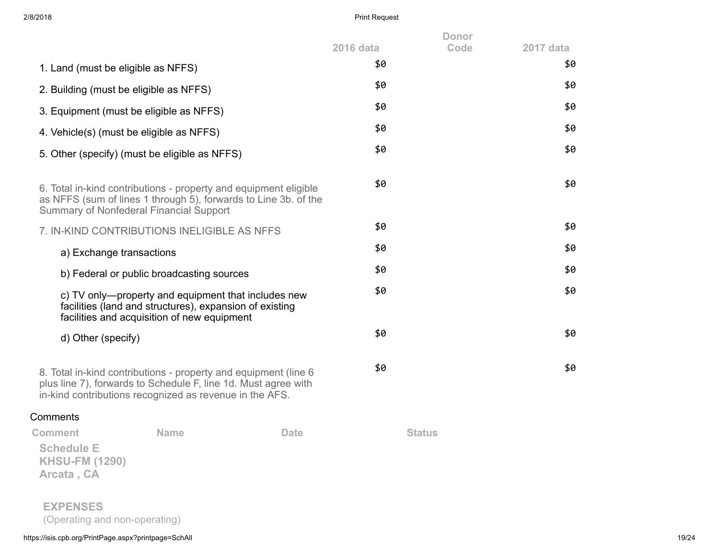| 2/8/2018                                                 |                                                                                                                                                                                              | <b>Print Request</b> |                      |           |
|----------------------------------------------------------|----------------------------------------------------------------------------------------------------------------------------------------------------------------------------------------------|----------------------|----------------------|-----------|
|                                                          |                                                                                                                                                                                              | <b>2016 data</b>     | <b>Donor</b><br>Code | 2017 data |
|                                                          | 1. Land (must be eligible as NFFS)                                                                                                                                                           | \$0                  |                      | \$0       |
|                                                          | 2. Building (must be eligible as NFFS)                                                                                                                                                       | \$0                  |                      | \$0       |
|                                                          | 3. Equipment (must be eligible as NFFS)                                                                                                                                                      | \$0                  |                      | \$0       |
|                                                          | 4. Vehicle(s) (must be eligible as NFFS)                                                                                                                                                     | \$0                  |                      | \$0       |
|                                                          | 5. Other (specify) (must be eligible as NFFS)                                                                                                                                                | \$0                  |                      | \$0       |
|                                                          | 6. Total in-kind contributions - property and equipment eligible<br>as NFFS (sum of lines 1 through 5), forwards to Line 3b. of the<br>Summary of Nonfederal Financial Support               | \$0                  |                      | \$0       |
|                                                          | 7. IN-KIND CONTRIBUTIONS INELIGIBLE AS NFFS                                                                                                                                                  | \$0                  |                      | \$0       |
|                                                          | a) Exchange transactions                                                                                                                                                                     | \$0                  |                      | \$0       |
|                                                          | b) Federal or public broadcasting sources                                                                                                                                                    | \$0                  |                      | \$0       |
|                                                          | c) TV only—property and equipment that includes new<br>facilities (land and structures), expansion of existing<br>facilities and acquisition of new equipment                                | \$0                  |                      | \$0       |
| d) Other (specify)                                       |                                                                                                                                                                                              | \$0                  |                      | \$0       |
|                                                          | 8. Total in-kind contributions - property and equipment (line 6<br>plus line 7), forwards to Schedule F, line 1d. Must agree with<br>in-kind contributions recognized as revenue in the AFS. | \$0                  |                      | \$0       |
| Comments                                                 |                                                                                                                                                                                              |                      |                      |           |
| <b>Comment</b>                                           | <b>Name</b><br><b>Date</b>                                                                                                                                                                   |                      | <b>Status</b>        |           |
| <b>Schedule E</b><br><b>KHSU-FM (1290)</b><br>Arcata, CA |                                                                                                                                                                                              |                      |                      |           |
| <b>EXPENSES</b>                                          |                                                                                                                                                                                              |                      |                      |           |

(Operating and non-operating)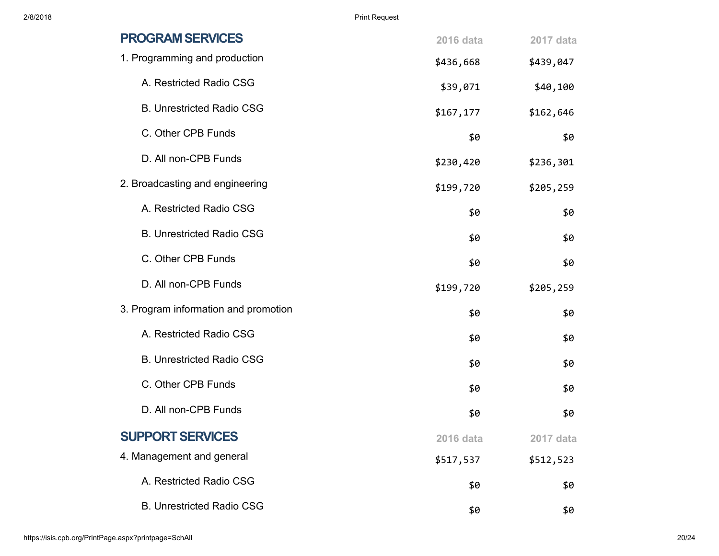| <b>PROGRAM SERVICES</b>              | <b>2016 data</b> | 2017 data |
|--------------------------------------|------------------|-----------|
| 1. Programming and production        | \$436,668        | \$439,047 |
| A. Restricted Radio CSG              | \$39,071         | \$40,100  |
| <b>B. Unrestricted Radio CSG</b>     | \$167, 177       | \$162,646 |
| C. Other CPB Funds                   | \$0              | \$0       |
| D. All non-CPB Funds                 | \$230,420        | \$236,301 |
| 2. Broadcasting and engineering      | \$199,720        | \$205,259 |
| A. Restricted Radio CSG              | \$0              | \$0       |
| <b>B. Unrestricted Radio CSG</b>     | \$0              | \$0       |
| C. Other CPB Funds                   | \$0              | \$0       |
| D. All non-CPB Funds                 | \$199,720        | \$205,259 |
| 3. Program information and promotion | \$0              | \$0       |
| A. Restricted Radio CSG              | \$0              | \$0       |
| <b>B. Unrestricted Radio CSG</b>     | \$0              | \$0       |
| C. Other CPB Funds                   | \$0              | \$0       |
| D. All non-CPB Funds                 | \$0              | \$0       |
| <b>SUPPORT SERVICES</b>              | 2016 data        | 2017 data |
| 4. Management and general            | \$517,537        | \$512,523 |
| A. Restricted Radio CSG              | \$0              | \$0       |
| <b>B. Unrestricted Radio CSG</b>     | \$0              | \$0       |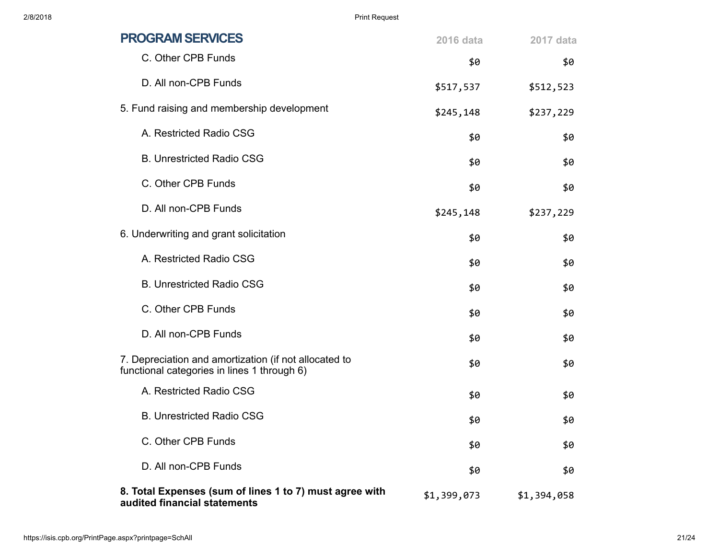| <b>PROGRAM SERVICES</b>                                                                              | <b>2016 data</b> | 2017 data   |
|------------------------------------------------------------------------------------------------------|------------------|-------------|
| C. Other CPB Funds                                                                                   | \$0              | \$0         |
| D. All non-CPB Funds                                                                                 | \$517,537        | \$512,523   |
| 5. Fund raising and membership development                                                           | \$245,148        | \$237,229   |
| A. Restricted Radio CSG                                                                              | \$0              | \$0         |
| <b>B. Unrestricted Radio CSG</b>                                                                     | \$0              | \$0         |
| C. Other CPB Funds                                                                                   | \$0              | \$0         |
| D. All non-CPB Funds                                                                                 | \$245,148        | \$237,229   |
| 6. Underwriting and grant solicitation                                                               | \$0              | \$0         |
| A. Restricted Radio CSG                                                                              | \$0              | \$0         |
| <b>B. Unrestricted Radio CSG</b>                                                                     | \$0              | \$0         |
| C. Other CPB Funds                                                                                   | \$0              | \$0         |
| D. All non-CPB Funds                                                                                 | \$0              | \$0         |
| 7. Depreciation and amortization (if not allocated to<br>functional categories in lines 1 through 6) | \$0              | \$0         |
| A. Restricted Radio CSG                                                                              | \$0              | \$0         |
| <b>B. Unrestricted Radio CSG</b>                                                                     | \$0              | \$0         |
| C. Other CPB Funds                                                                                   | \$0              | \$0         |
| D. All non-CPB Funds                                                                                 | \$0              | \$0         |
| 8. Total Expenses (sum of lines 1 to 7) must agree with<br>audited financial statements              | \$1,399,073      | \$1,394,058 |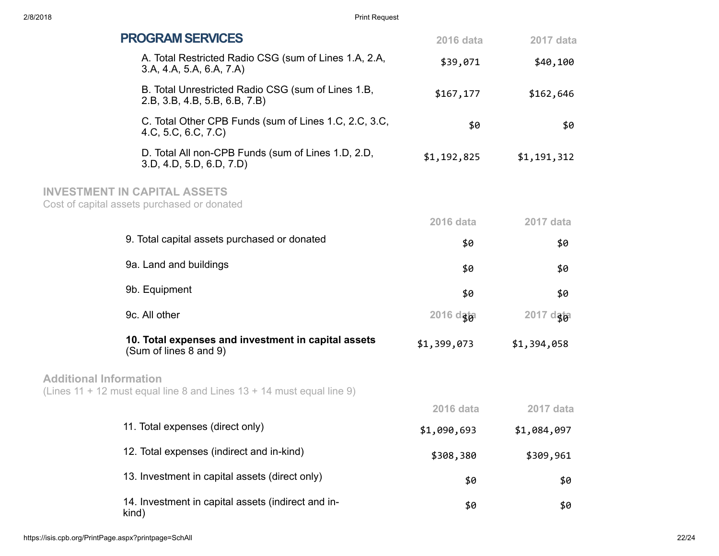| <b>PROGRAM SERVICES</b>                                                                                  | 2016 data        | 2017 data   |
|----------------------------------------------------------------------------------------------------------|------------------|-------------|
| A. Total Restricted Radio CSG (sum of Lines 1.A, 2.A,<br>3.A, 4.A, 5.A, 6.A, 7.A)                        | \$39,071         | \$40,100    |
| B. Total Unrestricted Radio CSG (sum of Lines 1.B,<br>2.B, 3.B, 4.B, 5.B, 6.B, 7.B)                      | \$167, 177       | \$162,646   |
| C. Total Other CPB Funds (sum of Lines 1.C, 2.C, 3.C,<br>4.C, 5.C, 6.C, 7.C)                             | \$0              | \$0         |
| D. Total All non-CPB Funds (sum of Lines 1.D, 2.D,<br>3.D, 4.D, 5.D, 6.D, 7.D                            | \$1,192,825      | \$1,191,312 |
| <b>INVESTMENT IN CAPITAL ASSETS</b><br>Cost of capital assets purchased or donated                       |                  |             |
|                                                                                                          | 2016 data        | 2017 data   |
| 9. Total capital assets purchased or donated                                                             | \$0              | \$0         |
| 9a. Land and buildings                                                                                   | \$0              | \$0         |
| 9b. Equipment                                                                                            | \$0              | \$0         |
| 9c. All other                                                                                            | 2016 dgba        | 2017 dgb    |
| 10. Total expenses and investment in capital assets<br>(Sum of lines 8 and 9)                            | \$1,399,073      | \$1,394,058 |
| <b>Additional Information</b><br>(Lines 11 + 12 must equal line 8 and Lines $13 + 14$ must equal line 9) |                  |             |
|                                                                                                          | <b>2016 data</b> | 2017 data   |
| 11. Total expenses (direct only)                                                                         | \$1,090,693      | \$1,084,097 |
| 12. Total expenses (indirect and in-kind)                                                                | \$308,380        | \$309,961   |
| 13. Investment in capital assets (direct only)                                                           | \$0              | \$0         |
| 14. Investment in capital assets (indirect and in-<br>kind)                                              | \$0              | \$0         |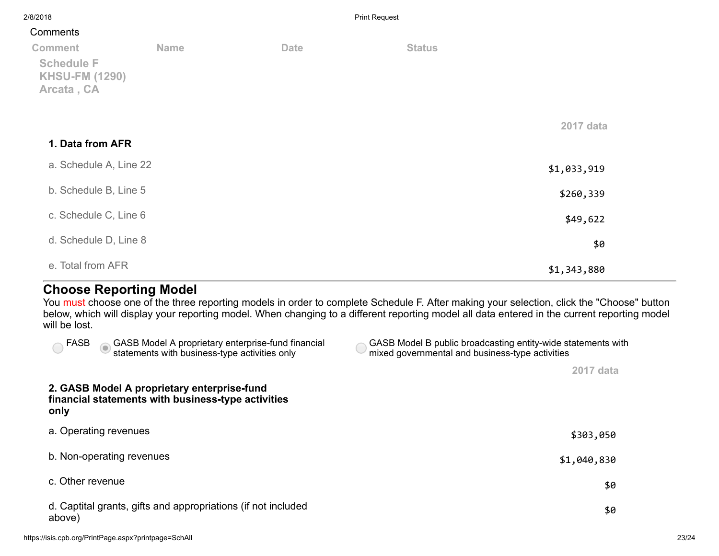| 2/8/2018                                                                   |             |             | <b>Print Request</b> |             |
|----------------------------------------------------------------------------|-------------|-------------|----------------------|-------------|
| Comments                                                                   |             |             |                      |             |
| <b>Comment</b><br><b>Schedule F</b><br><b>KHSU-FM (1290)</b><br>Arcata, CA | <b>Name</b> | <b>Date</b> | <b>Status</b>        |             |
| 1. Data from AFR                                                           |             |             |                      | 2017 data   |
| a. Schedule A, Line 22                                                     |             |             |                      | \$1,033,919 |
| b. Schedule B, Line 5                                                      |             |             |                      | \$260,339   |
| c. Schedule C, Line 6                                                      |             |             |                      | \$49,622    |
| d. Schedule D, Line 8                                                      |             |             |                      | \$0         |
| e. Total from AFR                                                          |             |             |                      | \$1,343,880 |

## Choose Reporting Model

You must choose one of the three reporting models in order to complete Schedule F. After making your selection, click the "Choose" button below, which will display your reporting model. When changing to a different reporting model all data entered in the current reporting model will be lost.

| GASB Model B public broadcasting entity-wide statements with<br>mixed governmental and business-type activities |
|-----------------------------------------------------------------------------------------------------------------|
| 2017 data                                                                                                       |
|                                                                                                                 |
| \$303,050                                                                                                       |
| \$1,040,830                                                                                                     |
| \$0                                                                                                             |
| \$0                                                                                                             |
|                                                                                                                 |